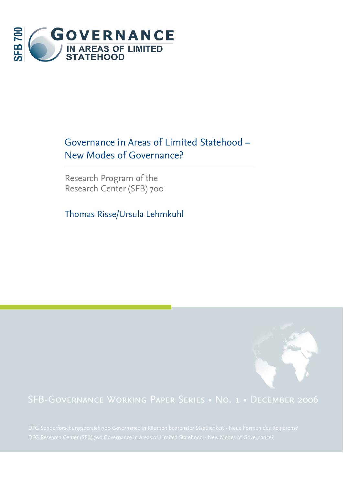

# Governance in Areas of Limited Statehood – New Modes of Governance?

Research Program of the Research Center (SFB) 700

Thomas Risse/Ursula Lehmkuhl

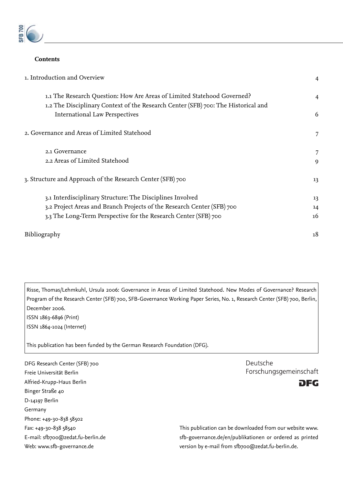

#### **Contents**

| 1. Introduction and Overview                                                      | $\overline{4}$ |
|-----------------------------------------------------------------------------------|----------------|
| 1.1 The Research Question: How Are Areas of Limited Statehood Governed?           | $\overline{4}$ |
| 1.2 The Disciplinary Context of the Research Center (SFB) 700: The Historical and |                |
| <b>International Law Perspectives</b>                                             | 6              |
| 2. Governance and Areas of Limited Statehood                                      | 7              |
| 2.1 Governance                                                                    | 7              |
| 2.2 Areas of Limited Statehood                                                    | 9              |
| 3. Structure and Approach of the Research Center (SFB) 700                        | 13             |
| 3.1 Interdisciplinary Structure: The Disciplines Involved                         | 13             |
| 3.2 Project Areas and Branch Projects of the Research Center (SFB) 700            | 14             |
| 3.3 The Long-Term Perspective for the Research Center (SFB) 700                   | 16             |
| Bibliography                                                                      | 18             |
|                                                                                   |                |

Risse, Thomas/Lehmkuhl, Ursula 2006: Governance in Areas of Limited Statehood. New Modes of Governance? Research Program of the Research Center (SFB) 700, SFB-Governance Working Paper Series, No. 1, Research Center (SFB) 700, Berlin, December 2006.

ISSN 1863-6896 (Print) ISSN 1864-1024 (Internet)

This publication has been funded by the German Research Foundation (DFG).

DFG Research Center (SFB) 700 Freie Universität Berlin Alfried-Krupp-Haus Berlin Binger Straße 40 D-14197 Berlin Germany Phone: +49-30-838 58502 Fax: +49-30-838 58540 E-mail: sfb700@zedat.fu-berlin.de Web: www.sfb-governance.de





This publication can be downloaded from our website www. sfb-governance.de/en/publikationen or ordered as printed version by e-mail from sfb700@zedat.fu-berlin.de.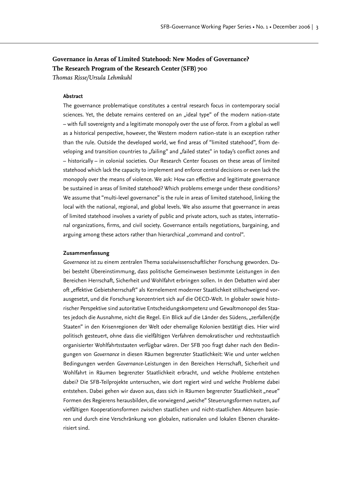# **Governance in Areas of Limited Statehood: New Modes of Governance? The Research Program of the Research Center (SFB) 700**

*Thomas Risse/Ursula Lehmkuhl*

#### **Abstract**

The governance problematique constitutes a central research focus in contemporary social sciences. Yet, the debate remains centered on an "ideal type" of the modern nation-state – with full sovereignty and a legitimate monopoly over the use of force. From a global as well as a historical perspective, however, the Western modern nation-state is an exception rather than the rule. Outside the developed world, we find areas of "limited statehood", from developing and transition countries to "failing" and "failed states" in today's conflict zones and – historically – in colonial societies. Our Research Center focuses on these areas of limited statehood which lack the capacity to implement and enforce central decisions or even lack the monopoly over the means of violence. We ask: How can effective and legitimate governance be sustained in areas of limited statehood? Which problems emerge under these conditions? We assume that "multi-level governance" is the rule in areas of limited statehood, linking the local with the national, regional, and global levels. We also assume that governance in areas of limited statehood involves a variety of public and private actors, such as states, international organizations, firms, and civil society. Governance entails negotiations, bargaining, and arguing among these actors rather than hierarchical "command and control".

#### **Zusammenfassung**

*Governance* ist zu einem zentralen Thema sozialwissenschaftlicher Forschung geworden. Dabei besteht Übereinstimmung, dass politische Gemeinwesen bestimmte Leistungen in den Bereichen Herrschaft, Sicherheit und Wohlfahrt erbringen sollen. In den Debatten wird aber oft "effektive Gebietsherrschaft" als Kernelement moderner Staatlichkeit stillschweigend vorausgesetzt, und die Forschung konzentriert sich auf die OECD-Welt. In globaler sowie historischer Perspektive sind autoritative Entscheidungskompetenz und Gewaltmonopol des Staates jedoch die Ausnahme, nicht die Regel. Ein Blick auf die Länder des Südens, "zerfallen(d)e Staaten" in den Krisenregionen der Welt oder ehemalige Kolonien bestätigt dies. Hier wird politisch gesteuert, ohne dass die vielfältigen Verfahren demokratischer und rechtsstaatlich organisierter Wohlfahrtsstaaten verfügbar wären. Der SFB 700 fragt daher nach den Bedingungen von *Governance* in diesen Räumen begrenzter Staatlichkeit: Wie und unter welchen Bedingungen werden *Governance*-Leistungen in den Bereichen Herrschaft, Sicherheit und Wohlfahrt in Räumen begrenzter Staatlichkeit erbracht, und welche Probleme entstehen dabei? Die SFB-Teilprojekte untersuchen, wie dort regiert wird und welche Probleme dabei entstehen. Dabei gehen wir davon aus, dass sich in Räumen begrenzter Staatlichkeit "neue" Formen des Regierens herausbilden, die vorwiegend "weiche" Steuerungsformen nutzen, auf vielfältigen Kooperationsformen zwischen staatlichen und nicht-staatlichen Akteuren basieren und durch eine Verschränkung von globalen, nationalen und lokalen Ebenen charakterisiert sind.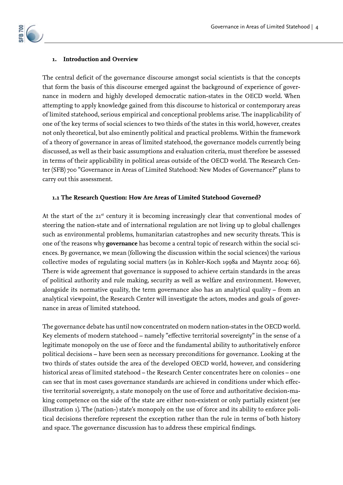#### **1. Introduction and Overview**

The central deficit of the governance discourse amongst social scientists is that the concepts that form the basis of this discourse emerged against the background of experience of governance in modern and highly developed democratic nation-states in the OECD world. When attempting to apply knowledge gained from this discourse to historical or contemporary areas of limited statehood, serious empirical and conceptional problems arise. The inapplicability of one of the key terms of social sciences to two thirds of the states in this world, however, creates not only theoretical, but also eminently political and practical problems. Within the framework of a theory of governance in areas of limited statehood, the governance models currently being discussed, as well as their basic assumptions and evaluation criteria, must therefore be assessed in terms of their applicability in political areas outside of the OECD world. The Research Center (SFB) 700 "Governance in Areas of Limited Statehood: New Modes of Governance?" plans to carry out this assessment.

#### **1.1 The Research Question: How Are Areas of Limited Statehood Governed?**

At the start of the 21st century it is becoming increasingly clear that conventional modes of steering the nation-state and of international regulation are not living up to global challenges such as environmental problems, humanitarian catastrophes and new security threats. This is one of the reasons why **governance** has become a central topic of research within the social sciences. By governance, we mean (following the discussion within the social sciences) the various collective modes of regulating social matters (as in Kohler-Koch 1998a and Mayntz 2004: 66). There is wide agreement that governance is supposed to achieve certain standards in the areas of political authority and rule making, security as well as welfare and environment. However, alongside its normative quality, the term governance also has an analytical quality – from an analytical viewpoint, the Research Center will investigate the actors, modes and goals of governance in areas of limited statehood.

The governance debate has until now concentrated on modern nation-states in the OECD world. Key elements of modern statehood - namely "effective territorial sovereignty" in the sense of a legitimate monopoly on the use of force and the fundamental ability to authoritatively enforce political decisions – have been seen as necessary preconditions for governance. Looking at the two thirds of states outside the area of the developed OECD world, however, and considering historical areas of limited statehood – the Research Center concentrates here on colonies – one can see that in most cases governance standards are achieved in conditions under which effective territorial sovereignty, a state monopoly on the use of force and authoritative decision-making competence on the side of the state are either non-existent or only partially existent (see illustration 1). The (nation-) state's monopoly on the use of force and its ability to enforce political decisions therefore represent the exception rather than the rule in terms of both history and space. The governance discussion has to address these empirical findings.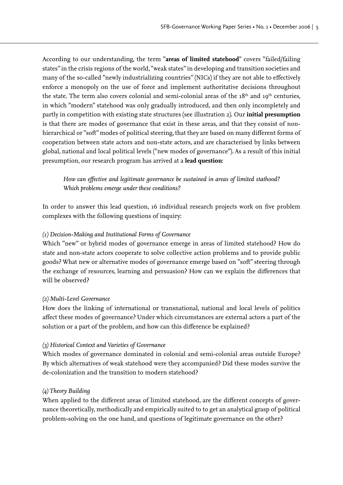According to our understanding, the term "**areas of limited statehood**" covers "failed/failing states" in the crisis regions of the world, "weak states" in developing and transition societies and many of the so-called "newly industrializing countries" (NICs) if they are not able to effectively enforce a monopoly on the use of force and implement authoritative decisions throughout the state. The term also covers colonial and semi-colonial areas of the  $18<sup>th</sup>$  and  $19<sup>th</sup>$  centuries, in which "modern" statehood was only gradually introduced, and then only incompletely and partly in competition with existing state structures (see illustration 2). Our **initial presumption**  is that there are modes of governance that exist in these areas, and that they consist of non hierarchical or "soft" modes of political steering, that they are based on many different forms of cooperation between state actors and non-state actors, and are characterised by links between global, national and local political levels ("new modes of governance"). As a result of this initial presumption, our research program has arrived at a **lead question**:

How can effective and legitimate governance be sustained in areas of limited stathood? *Which problems emerge under these conditions?*

In order to answer this lead question, 16 individual research projects work on five problem complexes with the following questions of inquiry:

# *(1) Decision-Making and Institutional Forms of Governance*

Which "new" or hybrid modes of governance emerge in areas of limited statehood? How do state and non-state actors cooperate to solve collective action problems and to provide public goods? What new or alternative modes of governance emerge based on "soft" steering through the exchange of resources, learning and persuasion? How can we explain the differences that will be observed?

# *(2) Multi-Level Governance*

How does the linking of international or transnational, national and local levels of politics affect these modes of governance? Under which circumstances are external actors a part of the solution or a part of the problem, and how can this difference be explained?

# *(3) Historical Context and Varieties of Governance*

Which modes of governance dominated in colonial and semi-colonial areas outside Europe? By which alternatives of weak statehood were they accompanied? Did these modes survive the de-colonization and the transition to modern statehood?

# *(4) Theory Building*

When applied to the different areas of limited statehood, are the different concepts of governance theoretically, methodically and empirically suited to to get an analytical grasp of political problem-solving on the one hand, and questions of legitimate governance on the other?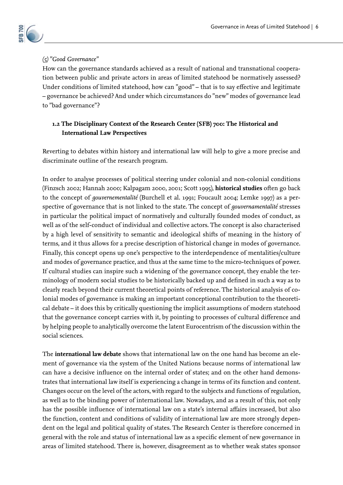

# *(5) "Good Governance"*

How can the governance standards achieved as a result of national and transnational cooperation between public and private actors in areas of limited statehood be normatively assessed? Under conditions of limited statehood, how can "good" - that is to say effective and legitimate – governance be achieved? And under which circumstances do "new" modes of governance lead to "bad governance"?

# **1.2 The Disciplinary Context of the Research Center (SFB) 700: The Historical and International Law Perspectives**

Reverting to debates within history and international law will help to give a more precise and discriminate outline of the research program.

In order to analyse processes of political steering under colonial and non-colonial conditions (Finzsch 2002; Hannah 2000; Kalpagam 2000, 2001; Scott 1995), **historical studies** often go back to the concept of *gouvernementalité* (Burchell et al. 1991; Foucault 2004; Lemke 1997) as a perspective of governance that is not linked to the state. The concept of *gouvernamentalité* stresses in particular the political impact of normatively and culturally founded modes of conduct, as well as of the self-conduct of individual and collective actors. The concept is also characterised by a high level of sensitivity to semantic and ideological shifts of meaning in the history of terms, and it thus allows for a precise description of historical change in modes of governance. Finally, this concept opens up one's perspective to the interdependence of mentalities/culture and modes of governance practice, and thus at the same time to the micro-techniques of power. If cultural studies can inspire such a widening of the governance concept, they enable the terminology of modern social studies to be historically backed up and defined in such a way as to clearly reach beyond their current theoretical points of reference. The historical analysis of colonial modes of governance is making an important conceptional contribution to the theoretical debate – it does this by critically questioning the implicit assumptions of modern statehood that the governance concept carries with it, by pointing to processes of cultural difference and by helping people to analytically overcome the latent Eurocentrism of the discussion within the social sciences.

The **international law debate** shows that international law on the one hand has become an element of governance via the system of the United Nations because norms of international law can have a decisive influence on the internal order of states; and on the other hand demonstrates that international law itself is experiencing a change in terms of its function and content. Changes occur on the level of the actors, with regard to the subjects and functions of regulation, as well as to the binding power of international law. Nowadays, and as a result of this, not only has the possible influence of international law on a state's internal affairs increased, but also the function, content and conditions of validity of international law are more strongly dependent on the legal and political quality of states. The Research Center is therefore concerned in general with the role and status of international law as a specific element of new governance in areas of limited statehood. There is, however, disagreement as to whether weak states sponsor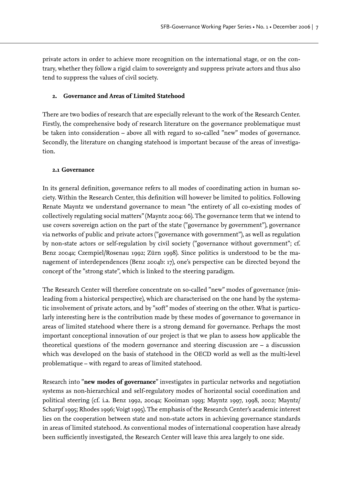private actors in order to achieve more recognition on the international stage, or on the contrary, whether they follow a rigid claim to sovereignty and suppress private actors and thus also tend to suppress the values of civil society.

# **2. Governance and Areas of Limited Statehood**

There are two bodies of research that are especially relevant to the work of the Research Center. Firstly, the comprehensive body of research literature on the governance problematique must be taken into consideration – above all with regard to so-called "new" modes of governance. Secondly, the literature on changing statehood is important because of the areas of investigation.

# **2.1 Governance**

In its general definition, governance refers to all modes of coordinating action in human society. Within the Research Center, this definition will however be limited to politics. Following Renate Mayntz we understand governance to mean "the entirety of all co-existing modes of collectively regulating social matters" (Mayntz 2004: 66). The governance term that we intend to use covers sovereign action on the part of the state ("governance by government"), governance via networks of public and private actors ("governance with government"), as well as regulation by non-state actors or self-regulation by civil society ("governance without government"; cf. Benz 2004a; Czempiel/Rosenau 1992; Zürn 1998). Since politics is understood to be the management of interdependences (Benz 2004b: 17), one's perspective can be directed beyond the concept of the "strong state", which is linked to the steering paradigm.

The Research Center will therefore concentrate on so-called "new" modes of governance (misleading from a historical perspective), which are characterised on the one hand by the systematic involvement of private actors, and by "soft" modes of steering on the other. What is particularly interesting here is the contribution made by these modes of governance to governance in areas of limited statehood where there is a strong demand for governance. Perhaps the most important conceptional innovation of our project is that we plan to assess how applicable the theoretical questions of the modern governance and steering discussion are – a discussion which was developed on the basis of statehood in the OECD world as well as the multi-level problematique – with regard to areas of limited statehood.

Research into "**new modes of governance**" investigates in particular networks and negotiation systems as non-hierarchical and self-regulatory modes of horizontal social coordination and political steering (cf. i.a. Benz 1992, 2004a; Kooiman 1993; Mayntz 1997, 1998, 2002; Mayntz/ Scharpf 1995; Rhodes 1996; Voigt 1995). The emphasis of the Research Center's academic interest lies on the cooperation between state and non-state actors in achieving governance standards in areas of limited statehood. As conventional modes of international cooperation have already been sufficiently investigated, the Research Center will leave this area largely to one side.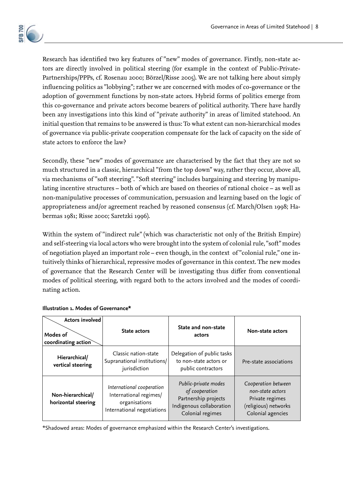

Research has identified two key features of "new" modes of governance. Firstly, non-state actors are directly involved in political steering (for example in the context of Public-Private-Partnerships/PPPs, cf. Rosenau 2000; Börzel/Risse 2005). We are not talking here about simply influencing politics as "lobbying"; rather we are concerned with modes of co-governance or the adoption of government functions by non-state actors. Hybrid forms of politics emerge from this co-governance and private actors become bearers of political authority. There have hardly been any investigations into this kind of "private authority" in areas of limited statehood. An initial question that remains to be answered is thus: To what extent can non-hierarchical modes of governance via public-private cooperation compensate for the lack of capacity on the side of state actors to enforce the law?

Secondly, these "new" modes of governance are characterised by the fact that they are not so much structured in a classic, hierarchical "from the top down" way, rather they occur, above all, via mechanisms of "soft steering". "Soft steering" includes bargaining and steering by manipulating incentive structures – both of which are based on theories of rational choice – as well as non-manipulative processes of communication, persuasion and learning based on the logic of appropriateness and/or agreement reached by reasoned consensus (cf. March/Olsen 1998; Habermas 1981; Risse 2000; Saretzki 1996).

Within the system of "indirect rule" (which was characteristic not only of the British Empire) and self-steering via local actors who were brought into the system of colonial rule, "soft" modes of negotiation played an important role – even though, in the context of "colonial rule," one intuitively thinks of hierarchical, repressive modes of governance in this context. The new modes of governance that the Research Center will be investigating thus differ from conventional modes of political steering, with regard both to the actors involved and the modes of coordinating action.

| <b>Actors involved</b><br>Modes of<br>coordinating action | State actors                                                                                       | State and non-state<br>actors                                                                                  | Non-state actors                                                                                        |
|-----------------------------------------------------------|----------------------------------------------------------------------------------------------------|----------------------------------------------------------------------------------------------------------------|---------------------------------------------------------------------------------------------------------|
| Hierarchical/<br>vertical steering                        | Classic nation-state<br>Supranational institutions/<br>jurisdiction                                | Delegation of public tasks<br>to non-state actors or<br>public contractors                                     | Pre-state associations                                                                                  |
| Non-hierarchical/<br>horizontal steering                  | International cooperation<br>International regimes/<br>organisations<br>International negotiations | Public-private modes<br>of cooperation<br>Partnership projects<br>Indigenous collaboration<br>Colonial regimes | Cooperation between<br>non-state actors<br>Private regimes<br>(religious) networks<br>Colonial agencies |

#### **Illustration 1. Modes of Governance\***

\*Shadowed areas: Modes of governance emphasized within the Research Center's investigations.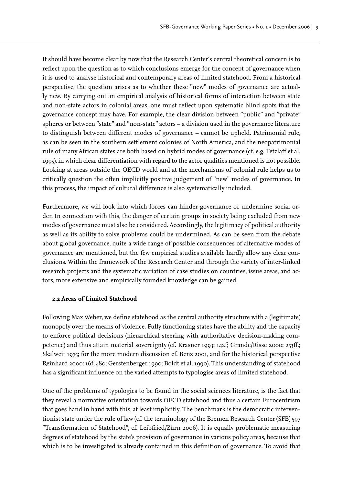It should have become clear by now that the Research Center's central theoretical concern is to reflect upon the question as to which conclusions emerge for the concept of governance when it is used to analyse historical and contemporary areas of limited statehood. From a historical perspective, the question arises as to whether these "new" modes of governance are actually new. By carrying out an empirical analysis of historical forms of interaction between state and non-state actors in colonial areas, one must reflect upon systematic blind spots that the governance concept may have. For example, the clear division between "public" and "private" spheres or between "state" and "non-state" actors – a division used in the governance literature to distinguish between different modes of governance - cannot be upheld. Patrimonial rule, as can be seen in the southern settlement colonies of North America, and the neopatrimonial rule of many African states are both based on hybrid modes of governance (cf. e.g. Tetzlaff et al. 1995), in which clear differentiation with regard to the actor qualities mentioned is not possible. Looking at areas outside the OECD world and at the mechanisms of colonial rule helps us to critically question the often implicitly positive judgement of "new" modes of governance. In this process, the impact of cultural difference is also systematically included.

Furthermore, we will look into which forces can hinder governance or undermine social order. In connection with this, the danger of certain groups in society being excluded from new modes of governance must also be considered. Accordingly, the legitimacy of political authority as well as its ability to solve problems could be undermined. As can be seen from the debate about global governance, quite a wide range of possible consequences of alternative modes of governance are mentioned, but the few empirical studies available hardly allow any clear conclusions. Within the framework of the Research Center and through the variety of inter-linked research projects and the systematic variation of case studies on countries, issue areas, and actors, more extensive and empirically founded knowledge can be gained.

#### **2.2 Areas of Limited Statehood**

Following Max Weber, we define statehood as the central authority structure with a (legitimate) monopoly over the means of violence. Fully functioning states have the ability and the capacity to enforce political decisions (hierarchical steering with authoritative decision-making competence) and thus attain material sovereignty (cf. Krasner 1993: 142f; Grande/Risse 2000: 253ff.; Skalweit 1975; for the more modern discussion cf. Benz 2001, and for the historical perspective Reinhard 2000: 16f, 480; Gerstenberger 1990; Boldt et al. 1990). This understanding of statehood has a significant influence on the varied attempts to typologise areas of limited statehood.

One of the problems of typologies to be found in the social sciences literature, is the fact that they reveal a normative orientation towards OECD statehood and thus a certain Eurocentrism that goes hand in hand with this, at least implicitly. The benchmark is the democratic interventionist state under the rule of law (cf. the terminology of the Bremen Research Center (SFB) 597 "Transformation of Statehood", cf. Leibfried/Zürn 2006). It is equally problematic measuring degrees of statehood by the state's provision of governance in various policy areas, because that which is to be investigated is already contained in this definition of governance. To avoid that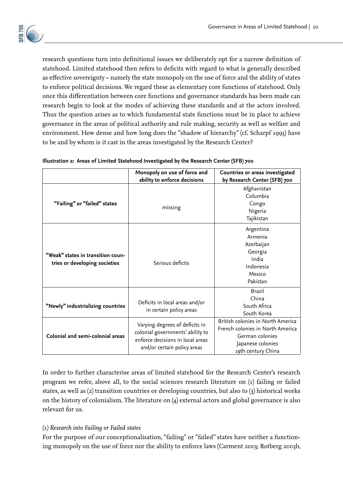

research questions turn into definitional issues we deliberately opt for a narrow definition of statehood. Limited statehood then refers to deficits with regard to what is generally described as effective sovereignty – namely the state monopoly on the use of force and the ability of states to enforce political decisions. We regard these as elementary core functions of statehood. Only once this differentiation between core functions and governance standards has been made can research begin to look at the modes of achieving these standards and at the actors involved. Thus the question arises as to which fundamental state functions must be in place to achieve governance in the areas of political authority and rule making, security as well as welfare and environment. How dense and how long does the "shadow of hierarchy" (cf. Scharpf 1993) have to be and by whom is it cast in the areas investigated by the Research Center?

|                                                                    | Monopoly on use of force and<br>ability to enforce decisions                                                                          | Countries or areas investigated<br>by Research Center (SFB) 700                                                                     |
|--------------------------------------------------------------------|---------------------------------------------------------------------------------------------------------------------------------------|-------------------------------------------------------------------------------------------------------------------------------------|
| "Failing" or "failed" states                                       | missing                                                                                                                               | Afghanistan<br>Columbia<br>Congo<br>Nigeria<br>Tajikistan                                                                           |
| "Weak" states in transition coun-<br>tries or developing societies | Serious deficits                                                                                                                      | Argentina<br>Armenia<br>Azerbaijan<br>Georgia<br>India<br>Indonesia<br>Mexico<br>Pakistan                                           |
| "Newly" industrializing countries                                  | Deficits in local areas and/or<br>in certain policy areas                                                                             | <b>Brazil</b><br>China<br>South Africa<br>South Korea                                                                               |
| Colonial and semi-colonial areas                                   | Varying degrees of deficits in<br>colonial governments' ability to<br>enforce decisions in local areas<br>and/or certain policy areas | British colonies in North America<br>French colonies in North America<br>German colonies<br>Japanese colonies<br>19th century China |

| Illustration 2: Areas of Limited Statehood Investigated by the Research Center (SFB) 700 |  |
|------------------------------------------------------------------------------------------|--|
|------------------------------------------------------------------------------------------|--|

In order to further characterise areas of limited statehood for the Research Center's research program we refer, above all, to the social sciences research literature on (1) failing or failed states, as well as (2) transition countries or developing countries, but also to (3) historical works on the history of colonialism. The literature on (4) external actors and global governance is also relevant for us.

# *(1) Research into Failing or Failed states*

For the purpose of our conceptionalisation, "failing" or "failed" states have neither a functioning monopoly on the use of force nor the ability to enforce laws (Carment 2003; Rotberg 2003b,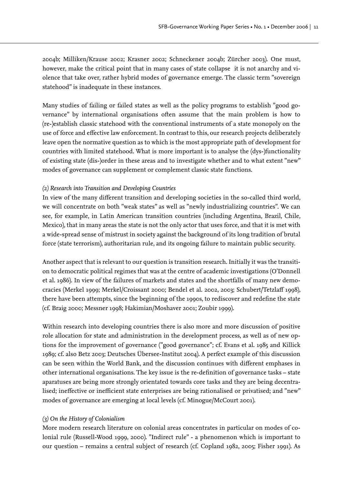2004b; Milliken/Krause 2002; Krasner 2002; Schneckener 2004b; Zürcher 2003). One must, however, make the critical point that in many cases of state collapse it is not anarchy and violence that take over, rather hybrid modes of governance emerge. The classic term "sovereign statehood" is inadequate in these instances.

Many studies of failing or failed states as well as the policy programs to establish "good governance" by international organisations often assume that the main problem is how to (re-)establish classic statehood with the conventional instruments of a state monopoly on the use of force and effective law enforcement. In contrast to this, our research projects deliberately leave open the normative question as to which is the most appropriate path of development for countries with limited statehood. What is more important is to analyse the (dys-)functionality of existing state (dis-)order in these areas and to investigate whether and to what extent "new" modes of governance can supplement or complement classic state functions.

#### *(2) Research into Transition and Developing Countries*

In view of the many different transition and developing societies in the so-called third world, we will concentrate on both "weak states" as well as "newly industrializing countries". We can see, for example, in Latin American transition countries (including Argentina, Brazil, Chile, Mexico), that in many areas the state is not the only actor that uses force, and that it is met with a wide-spread sense of mistrust in society against the background of its long tradition of brutal force (state terrorism), authoritarian rule, and its ongoing failure to maintain public security.

Another aspect that is relevant to our question is transition research. Initially it was the transition to democratic political regimes that was at the centre of academic investigations (O'Donnell et al. 1986). In view of the failures of markets and states and the shortfalls of many new democracies (Merkel 1999; Merkel/Croissant 2000; Bendel et al. 2002, 2003; Schubert/Tetzlaff 1998), there have been attempts, since the beginning of the 1990s, to rediscover and redefine the state (cf. Braig 2000; Messner 1998; Hakimian/Moshaver 2001; Zoubir 1999).

Within research into developing countries there is also more and more discussion of positive role allocation for state and administration in the development process, as well as of new options for the improvement of governance ("good governance"; cf. Evans et al. 1985 and Killick 1989; cf. also Betz 2003; Deutsches Übersee-Institut 2004). A perfect example of this discussion can be seen within the World Bank, and the discussion continues with different emphases in other international organisations. The key issue is the re-definition of governance tasks - state aparatuses are being more strongly orientated towards core tasks and they are being decentralised; ineffective or inefficient state enterprises are being rationalised or privatised; and "new" modes of governance are emerging at local levels (cf. Minogue/McCourt 2001).

#### *(3) On the History of Colonialism*

More modern research literature on colonial areas concentrates in particular on modes of colonial rule (Russell-Wood 1999, 2000). "Indirect rule" - a phenomenon which is important to our question – remains a central subject of research (cf. Copland 1982, 2005; Fisher 1991). As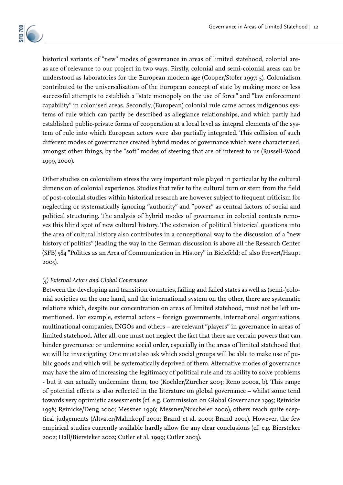

historical variants of "new" modes of governance in areas of limited statehood, colonial areas are of relevance to our project in two ways. Firstly, colonial and semi-colonial areas can be understood as laboratories for the European modern age (Cooper/Stoler 1997: 5). Colonialism contributed to the universalisation of the European concept of state by making more or less successful attempts to establish a "state monopoly on the use of force" and "law enforcement capability" in colonised areas. Secondly, (European) colonial rule came across indigenous systems of rule which can partly be described as allegiance relationships, and which partly had established public-private forms of cooperation at a local level as integral elements of the system of rule into which European actors were also partially integrated. This collision of such different modes of goverrnance created hybrid modes of governance which were characterised, amongst other things, by the "soft" modes of steering that are of interest to us (Russell-Wood 1999, 2000).

Other studies on colonialism stress the very important role played in particular by the cultural dimension of colonial experience. Studies that refer to the cultural turn or stem from the field of post-colonial studies within historical research are however subject to frequent criticism for neglecting or systematically ignoring "authority" and "power" as central factors of social and political structuring. The analysis of hybrid modes of governance in colonial contexts removes this blind spot of new cultural history. The extension of political historical questions into the area of cultural history also contributes in a conceptional way to the discussion of a "new history of politics" (leading the way in the German discussion is above all the Research Center (SFB) 584 "Politics as an Area of Communication in History" in Bielefeld; cf. also Frevert/Haupt 2005).

# *(4) External Actors and Global Governance*

Between the developing and transition countries, failing and failed states as well as (semi-)colonial societies on the one hand, and the international system on the other, there are systematic relations which, despite our concentration on areas of limited statehood, must not be left unmentioned. For example, external actors – foreign governments, international organisations, multinational companies, INGOs and others – are relevant "players" in governance in areas of limited statehood. After all, one must not neglect the fact that there are certain powers that can hinder governance or undermine social order, especially in the areas of limited statehood that we will be investigating. One must also ask which social groups will be able to make use of public goods and which will be systematically deprived of them. Alternative modes of governance may have the aim of increasing the legitimacy of political rule and its ability to solve problems - but it can actually undermine them, too (Koehler/Zürcher 2003; Reno 2000a, b). This range of potential effects is also reflected in the literature on global governance - whilst some tend towards very optimistic assessments (cf. e.g. Commission on Global Governance 1995; Reinicke 1998; Reinicke/Deng 2000; Messner 1996; Messner/Nuscheler 2000), others reach quite sceptical judgements (Altvater/Mahnkopf 2002; Brand et al. 2000; Brand 2001). However, the few empirical studies currently available hardly allow for any clear conclusions (cf. e.g. Biersteker 2002; Hall/Biersteker 2002; Cutler et al. 1999; Cutler 2003).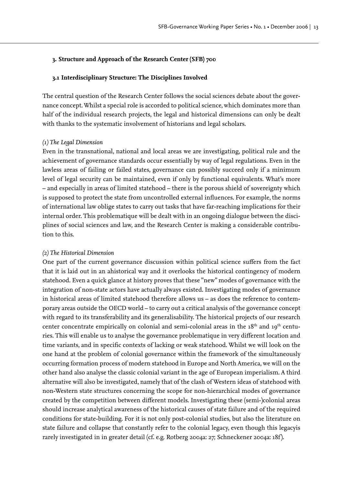#### **3. Structure and Approach of the Research Center (SFB) 700**

#### **3.1 Interdisciplinary Structure: The Disciplines Involved**

The central question of the Research Center follows the social sciences debate about the governance concept. Whilst a special role is accorded to political science, which dominates more than half of the individual research projects, the legal and historical dimensions can only be dealt with thanks to the systematic involvement of historians and legal scholars.

#### *(1) The Legal Dimension*

Even in the transnational, national and local areas we are investigating, political rule and the achievement of governance standards occur essentially by way of legal regulations. Even in the lawless areas of failing or failed states, governance can possibly succeed only if a minimum level of legal security can be maintained, even if only by functional equivalents. What's more – and especially in areas of limited statehood – there is the porous shield of sovereignty which is supposed to protect the state from uncontrolled external influences. For example, the norms of international law oblige states to carry out tasks that have far-reaching implications for their internal order. This problematique will be dealt with in an ongoing dialogue between the disciplines of social sciences and law, and the Research Center is making a considerable contribution to this.

#### *(2) The Historical Dimension*

One part of the current governance discussion within political science suffers from the fact that it is laid out in an ahistorical way and it overlooks the historical contingency of modern statehood. Even a quick glance at history proves that these "new" modes of governance with the integration of non-state actors have actually always existed. Investigating modes of governance in historical areas of limited statehood therefore allows us – as does the reference to contemporary areas outside the OECD world – to carry out a critical analysis of the governance concept with regard to its transferability and its generalisability. The historical projects of our research center concentrate empirically on colonial and semi-colonial areas in the 18<sup>th</sup> and 19<sup>th</sup> centuries. This will enable us to analyse the governance problematique in very different location and time variants, and in specific contexts of lacking or weak statehood. Whilst we will look on the one hand at the problem of colonial governance within the framework of the simultaneously occurring formation process of modern statehood in Europe and North America, we will on the other hand also analyse the classic colonial variant in the age of European imperialism. A third alternative will also be investigated, namely that of the clash of Western ideas of statehood with non-Western state structures concerning the scope for non-hierarchical modes of governance created by the competition between different models. Investigating these (semi-)colonial areas should increase analytical awareness of the historical causes of state failure and of the required conditions for state-building. For it is not only post-colonial studies, but also the literature on state failure and collapse that constantly refer to the colonial legacy, even though this legacyis rarely investigated in in greater detail (cf. e.g. Rotberg 2004a: 27; Schneckener 2004a: 18f ).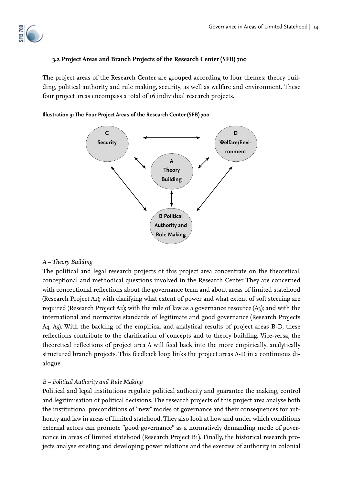

# **3.2 Project Areas and Branch Projects of the Research Center (SFB) 700**

The project areas of the Research Center are grouped according to four themes: theory building, political authority and rule making, security, as well as welfare and environment. These four project areas encompass a total of 16 individual research projects.



#### **Illustration 3: The Four Project Areas of the Research Center (SFB) 700**

# *A – Theory Building*

The political and legal research projects of this project area concentrate on the theoretical, conceptional and methodical questions involved in the Research Center They are concerned with conceptional reflections about the governance term and about areas of limited statehood (Research Project A1); with clarifying what extent of power and what extent of soft steering are required (Research Project A2); with the rule of law as a governance resource (A3); and with the international and normative standards of legitimate and good governance (Research Projects A4, A5). With the backing of the empirical and analytical results of project areas B-D, these reflections contribute to the clarification of concepts and to theory building. Vice-versa, the theoretical reflections of project area A will feed back into the more empirically, analytically structured branch projects. This feedback loop links the project areas A-D in a continuous dialogue.

# *B – Political Authority and Rule Making*

Political and legal institutions regulate political authority and guarantee the making, control and legitimisation of political decisions. The research projects of this project area analyse both the institutional preconditions of "new" modes of governance and their consequences for authority and law in areas of limited statehood. They also look at how and under which conditions external actors can promote "good governance" as a normatively demanding mode of governance in areas of limited statehood (Research Project B1). Finally, the historical research projects analyse existing and developing power relations and the exercise of authority in colonial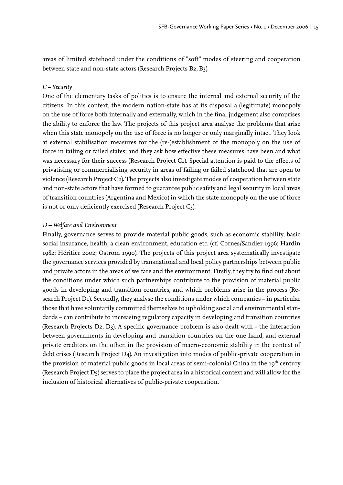areas of limited statehood under the conditions of "soft" modes of steering and cooperation between state and non-state actors (Research Projects B2, B3).

#### *C – Security*

One of the elementary tasks of politics is to ensure the internal and external security of the citizens. In this context, the modern nation-state has at its disposal a (legitimate) monopoly on the use of force both internally and externally, which in the final judgement also comprises the ability to enforce the law. The projects of this project area analyse the problems that arise when this state monopoly on the use of force is no longer or only marginally intact. They look at external stabilisation measures for the (re-)establishment of the monopoly on the use of force in failing or failed states; and they ask how effective these measures have been and what was necessary for their success (Research Project C1). Special attention is paid to the effects of privatising or commercialising security in areas of failing or failed statehood that are open to violence (Research Project C2). The projects also investigate modes of cooperation between state and non-state actors that have formed to guarantee public safety and legal security in local areas of transition countries (Argentina and Mexico) in which the state monopoly on the use of force is not or only deficiently exercised (Research Project C3).

#### *D – Welfare and Environment*

Finally, governance serves to provide material public goods, such as economic stability, basic social insurance, health, a clean environment, education etc. (cf. Cornes/Sandler 1996; Hardin 1982; Héritier 2002; Ostrom 1990). The projects of this project area systematically investigate the governance services provided by transnational and local policy partnerships between public and private actors in the areas of welfare and the environment. Firstly, they try to find out about the conditions under which such partnerships contribute to the provision of material public goods in developing and transition countries, and which problems arise in the process (Research Project D1). Secondly, they analyse the conditions under which companies – in particular those that have voluntarily committed themselves to upholding social and environmental standards – can contribute to increasing regulatory capacity in developing and transition countries (Research Projects D2, D3). A specific governance problem is also dealt with - the interaction between governments in developing and transition countries on the one hand, and external private creditors on the other, in the provision of macro-economic stability in the context of debt crises (Research Project D4). An investigation into modes of public-private cooperation in the provision of material public goods in local areas of semi-colonial China in the 19<sup>th</sup> century (Research Project D5) serves to place the project area in a historical context and will allow for the inclusion of historical alternatives of public-private cooperation.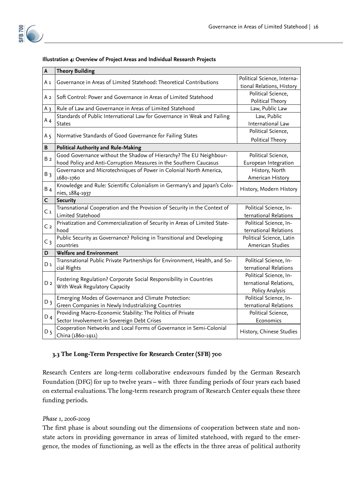#### **Illustration 4: Overview of Project Areas and Individual Research Projects**

| A              | <b>Theory Building</b>                                                                                     |                                                                     |
|----------------|------------------------------------------------------------------------------------------------------------|---------------------------------------------------------------------|
| Аı             | Governance in Areas of Limited Statehood: Theoretical Contributions                                        | Political Science, Interna-<br>tional Relations, History            |
| A 2            | Soft Control: Power and Governance in Areas of Limited Statehood                                           | Political Science,<br>Political Theory                              |
| $A_3$          | Rule of Law and Governance in Areas of Limited Statehood                                                   | Law, Public Law                                                     |
| $A_4$          | Standards of Public International Law for Governance in Weak and Failing<br><b>States</b>                  | Law, Public<br>International Law                                    |
| A <sub>5</sub> | Normative Standards of Good Governance for Failing States                                                  | Political Science,<br>Political Theory                              |
| B              | <b>Political Authority and Rule-Making</b>                                                                 |                                                                     |
|                | Good Governance without the Shadow of Hierarchy? The EU Neighbour-                                         | Political Science,                                                  |
| B <sub>2</sub> | hood Policy and Anti-Corruption Measures in the Southern Caucasus                                          | European Integration                                                |
| $B_3$          | Governance and Microtechniques of Power in Colonial North America,<br>1680-1760                            | History, North<br>American History                                  |
| $B_4$          | Knowledge and Rule: Scientific Colonialism in Germany's and Japan's Colo-<br>nies, 1884-1937               | History, Modern History                                             |
| $\mathsf{C}$   | <b>Security</b>                                                                                            |                                                                     |
| C <sub>1</sub> | Transnational Cooperation and the Provision of Security in the Context of<br>Limited Statehood             | Political Science, In-<br>ternational Relations                     |
| C <sub>2</sub> | Privatization and Commercialization of Security in Areas of Limited State-<br>hood                         | Political Science, In-<br>ternational Relations                     |
| C <sub>3</sub> | Public Security as Governance? Policing in Transitional and Developing<br>countries                        | Political Science, Latin<br>American Studies                        |
| D              | <b>Welfare and Environment</b>                                                                             |                                                                     |
| D 1            | Transnational Public Private Partnerships for Environment, Health, and So-<br>cial Rights                  | Political Science, In-<br>ternational Relations                     |
| D <sub>2</sub> | Fostering Regulation? Corporate Social Responsibility in Countries<br>With Weak Regulatory Capacity        | Political Science, In-<br>ternational Relations,<br>Policy Analysis |
| $D_3$          | Emerging Modes of Governance and Climate Protection:<br>Green Companies in Newly Industrializing Countries | Political Science, In-<br>ternational Relations                     |
| $D_4$          | Providing Macro-Economic Stability: The Politics of Private<br>Sector Involvement in Sovereign Debt Crises | Political Science,<br>Economics                                     |
| D <sub>5</sub> | Cooperation Networks and Local Forms of Governance in Semi-Colonial<br>China (1860-1911)                   | History, Chinese Studies                                            |

# **3.3 The Long-Term Perspective for Research Center (SFB) 700**

Research Centers are long-term collaborative endeavours funded by the German Research Foundation (DFG) for up to twelve years – with three funding periods of four years each based on external evaluations. The long-term research program of Research Center equals these three funding periods.

# *Phase 1, 2006-2009*

The first phase is about sounding out the dimensions of cooperation between state and nonstate actors in providing governance in areas of limited statehood, with regard to the emergence, the modes of functioning, as well as the effects in the three areas of political authority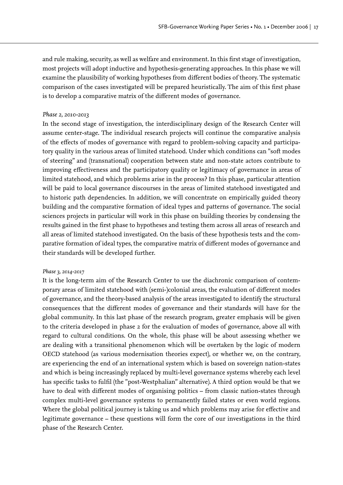and rule making, security, as well as welfare and environment. In this first stage of investigation, most projects will adopt inductive and hypothesis-generating approaches. In this phase we will examine the plausibility of working hypotheses from different bodies of theory. The systematic comparison of the cases investigated will be prepared heuristically. The aim of this first phase is to develop a comparative matrix of the different modes of governance.

#### *Phase 2, 2010-2013*

In the second stage of investigation, the interdisciplinary design of the Research Center will assume center-stage. The individual research projects will continue the comparative analysis of the effects of modes of governance with regard to problem-solving capacity and participatory quality in the various areas of limited statehood. Under which conditions can "soft modes of steering" and (transnational) cooperation between state and non-state actors contribute to improving effectiveness and the participatory quality or legitimacy of governance in areas of limited statehood, and which problems arise in the process? In this phase, particular attention will be paid to local governance discourses in the areas of limited statehood investigated and to historic path dependencies. In addition, we will concentrate on empirically guided theory building and the comparative formation of ideal types and patterns of governance. The social sciences projects in particular will work in this phase on building theories by condensing the results gained in the first phase to hypotheses and testing them across all areas of research and all areas of limited statehood investigated. On the basis of these hypothesis tests and the comparative formation of ideal types, the comparative matrix of different modes of governance and their standards will be developed further.

#### *Phase 3, 2014-2017*

It is the long-term aim of the Research Center to use the diachronic comparison of contemporary areas of limited statehood with (semi-)colonial areas, the evaluation of different modes of governance, and the theory-based analysis of the areas investigated to identify the structural consequences that the different modes of governance and their standards will have for the global community. In this last phase of the research program, greater emphasis will be given to the criteria developed in phase 2 for the evaluation of modes of governance, above all with regard to cultural conditions. On the whole, this phase will be about assessing whether we are dealing with a transitional phenomenon which will be overtaken by the logic of modern OECD statehood (as various modernisation theories expect), or whether we, on the contrary, are experiencing the end of an international system which is based on sovereign nation-states and which is being increasingly replaced by multi-level governance systems whereby each level has specific tasks to fulfil (the "post-Westphalian" alternative). A third option would be that we have to deal with different modes of organising politics - from classic nation-states through complex multi-level governance systems to permanently failed states or even world regions. Where the global political journey is taking us and which problems may arise for effective and legitimate governance – these questions will form the core of our investigations in the third phase of the Research Center.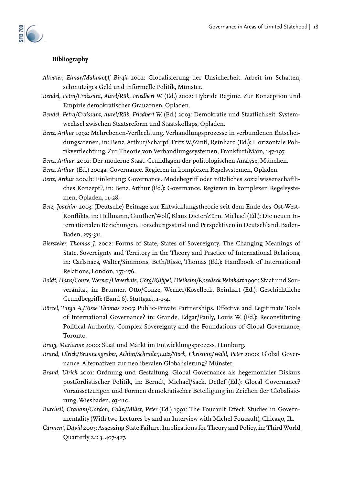# **Bibliography**

- *Altvater, Elmar/Mahnkopf, Birgit* 2002: Globalisierung der Unsicherheit. Arbeit im Schatten, schmutziges Geld und informelle Politik, Münster.
- *Bendel, Petra/Croissant, Aurel/Rüb, Friedbert W.* (Ed.) 2002: Hybride Regime. Zur Konzeption und Empirie demokratischer Grauzonen, Opladen.
- Bendel, Petra/Croissant, Aurel/Rüb, Friedbert W. (Ed.) 2003: Demokratie und Staatlichkeit. Systemwechsel zwischen Staatsreform und Staatskollaps, Opladen.
- Benz, Arthur 1992: Mehrebenen-Verflechtung. Verhandlungsprozesse in verbundenen Entscheidungsarenen, in: Benz, Arthur/Scharpf, Fritz W./Zintl, Reinhard (Ed.): Horizontale Politikverflechtung. Zur Theorie von Verhandlungssystemen, Frankfurt/Main, 147-197.

*Benz, Arthur* 2001: Der moderne Staat. Grundlagen der politologischen Analyse, München.

- *Benz, Arthur* (Ed.) 2004a: Governance. Regieren in komplexen Regelsystemen, Opladen.
- *Benz, Arthur* 2004b: Einleitung: Governance. Modebegriff oder nützliches sozialwissenschaftliches Konzept?, in: Benz, Arthur (Ed.): Governance. Regieren in komplexen Regelsystemen, Opladen, 11-28.
- *Betz, Joachim* 2003: (Deutsche) Beiträge zur Entwicklungstheorie seit dem Ende des Ost-West-Konflikts, in: Hellmann, Gunther/Wolf, Klaus Dieter/Zürn, Michael (Ed.): Die neuen Internationalen Beziehungen. Forschungsstand und Perspektiven in Deutschland, Baden-Baden, 275-311.
- *Biersteker, Thomas J.* 2002: Forms of State, States of Sovereignty. The Changing Meanings of State, Sovereignty and Territory in the Theory and Practice of International Relations, in: Carlsnaes, Walter/Simmons, Beth/Risse, Thomas (Ed.): Handbook of International Relations, London, 157-176.
- *Boldt, Hans/Conze, Werner/Haverkate, Görg/Klippel, Diethelm/Koselleck Reinhart* 1990: Staat und Souveränität, in: Brunner, Otto/Conze, Werner/Koselleck, Reinhart (Ed.): Geschichtliche Grundbegriffe (Band 6), Stuttgart, 1-154.
- Börzel, Tanja A./Risse Thomas 2005: Public-Private Partnerships. Effective and Legitimate Tools of International Governance? in: Grande, Edgar/Pauly, Louis W. (Ed.): Reconstituting Political Authority. Complex Sovereignty and the Foundations of Global Governance, Toronto.
- *Braig, Marianne* 2000: Staat und Markt im Entwicklungsprozess, Hamburg.
- *Brand, Ulrich/Brunnengräber, Achim/Schrader,Lutz/Stock, Christian/Wahl, Peter* 2000: Global Governance. Alternativen zur neoliberalen Globalisierung? Münster.
- *Brand, Ulrich* 2001: Ordnung und Gestaltung. Global Governance als hegemonialer Diskurs postfordistischer Politik, in: Berndt, Michael/Sack, Detlef (Ed.): Glocal Governance? Voraussetzungen und Formen demokratischer Beteiligung im Zeichen der Globalisierung, Wiesbaden, 93-110.
- Burchell, Graham/Gordon, Colin/Miller, Peter (Ed.) 1991: The Foucault Effect. Studies in Governmentality (With two Lectures by and an Interview with Michel Foucault), Chicago, IL.
- *Carment, David* 2003: Assessing State Failure. Implications for Theory and Policy, in: Third World Quarterly 24: 3, 407-427.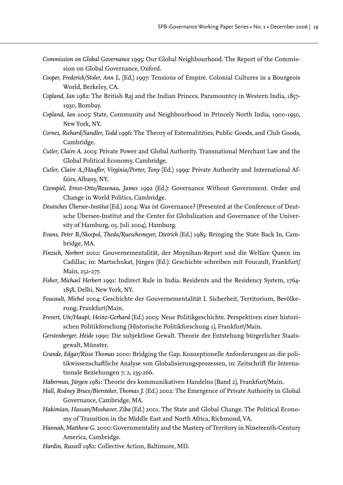- *Commission on Global Governance* 1995: Our Global Neighbourhood. The Report of the Commission on Global Governance, Oxford.
- *Cooper, Frederick/Stoler, Ann L.* (Ed.) 1997: Tensions of Empire. Colonial Cultures in a Bourgeois World, Berkeley, CA.
- *Copland, Ian* 1982: The British Raj and the Indian Princes. Paramountcy in Western India, 1857- 1930, Bombay.
- *Copland, Ian* 2005: State, Community and Neighbourhood in Princely North India, 1900-1950, New York, NY.
- *Cornes, Richard/Sandler, Todd* 1996: The Theory of Externalitities, Public Goods, and Club Goods, Cambridge.
- *Cutler, Claire A.* 2003: Private Power and Global Authority. Transnational Merchant Law and the Global Political Economy, Cambridge.
- *Cutler, Claire A./Haufler, Virginia/Porter, Tony (Ed.) 1999: Private Authority and International Af*fairs, Albany, NY.
- *Czempiel, Ernst-Otto/Rosenau, James* 1992 (Ed.): Governance Without Government. Order and Change in World Politics, Cambridge.
- *Deutsches Übersee-Institut* (Ed.) 2004: Was ist Governance? (Presented at the Conference of Deutsche Übersee-Institut and the Center for Globalization and Governance of the University of Hamburg, 05. Juli 2004), Hamburg.
- *Evans, Peter B./Skocpol, Theda/Rueschemeyer, Dietrich* (Ed.) 1985: Bringing the State Back In, Cambridge, MA.
- *Finzsch, Norbert* 2002: Gouvernementalität, der Moynihan-Report und die Welfare Queen im Cadillac, in: Martschukat, Jürgen (Ed.): Geschichte schreiben mit Foucault, Frankfurt/ Main, 252-277.
- *Fisher, Michael Herbert* 1991: Indirect Rule in India. Residents and the Residency System, 1764- 1858, Delhi, New York, NY.
- *Foucault, Michel* 2004: Geschichte der Gouvernementalität I. Sicherheit, Territorium, Bevölkerung, Frankfurt/Main.
- *Frevert, Ute/Haupt, Heinz-Gerhard* (Ed.) 2005: Neue Politikgeschichte. Perspektiven einer historischen Politikforschung (Historische Politikforschung 1), Frankfurt/Main.
- *Gerstenberger, Heide* 1990: Die subjektlose Gewalt. Theorie der Entstehung bürgerlicher Staatsgewalt, Münster.
- *Grande, Edgar/Risse Thomas* 2000: Bridging the Gap. Konzeptionelle Anforderungen an die politikwissenschaftliche Analyse von Globalisierungsprozessen, in: Zeitschrift für Internationale Beziehungen 7: 2, 235-266.
- *Habermas, Jürgen* 1981: Theorie des kommunikativen Handelns (Band 2), Frankfurt/Main.
- *Hall, Rodney Bruce/Biersteker, Thomas J.* (Ed.) 2002: The Emergence of Private Authority in Global Governance, Cambridge, MA.
- *Hakimian, Hassan/Moshaver, Ziba* (Ed.) 2001. The State and Global Change. The Political Economy of Transition in the Middle East and North Africa, Richmond, VA.
- *Hannah, Matthew G.* 2000: Governmentality and the Mastery of Territory in Nineteenth-Century America, Cambridge.
- *Hardin, Russell* 1982: Collective Action, Baltimore, MD.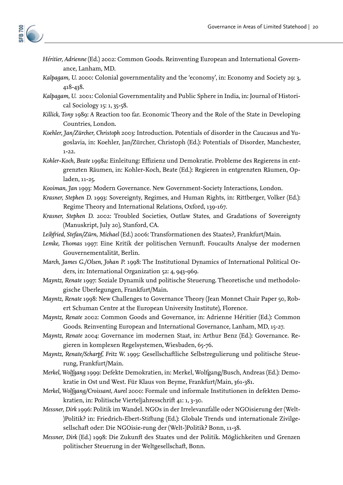

- *Héritier, Adrienne* (Ed.) 2002: Common Goods. Reinventing European and International Governance, Lanham, MD.
- *Kalpagam, U.* 2000: Colonial governmentality and the 'economy', in: Economy and Society 29: 3, 418-438.
- *Kalpagam, U.* 2001: Colonial Governmentality and Public Sphere in India, in: Journal of Historical Sociology 15: 1, 35-58.
- *Killick, Tony* 1989: A Reaction too far. Economic Theory and the Role of the State in Developing Countries, London.
- *Koehler, Jan/Zürcher, Christoph* 2003: Introduction. Potentials of disorder in the Caucasus and Yugoslavia, in: Koehler, Jan/Zürcher, Christoph (Ed.): Potentials of Disorder, Manchester, 1-22.
- Kohler-Koch, Beate 1998a: Einleitung: Effizienz und Demokratie. Probleme des Regierens in entgrenzten Räumen, in: Kohler-Koch, Beate (Ed.): Regieren in entgrenzten Räumen, Opladen, 11-25.
- *Kooiman, Jan* 1993: Modern Governance. New Government-Society Interactions, London.
- *Krasner, Stephen D.* 1993: Sovereignty, Regimes, and Human Rights, in: Rittberger, Volker (Ed.): Regime Theory and International Relations, Oxford, 139-167.
- *Krasner, Stephen D.* 2002: Troubled Societies, Outlaw States, and Gradations of Sovereignty (Manuskript, July 20), Stanford, CA.
- *Leibfried, Stefan/Zürn, Michael* (Ed.) 2006: Transformationen des Staates?, Frankfurt/Main.
- *Lemke, Thomas* 1997: Eine Kritik der politischen Vernunft. Foucaults Analyse der modernen Gouvernementalität, Berlin.
- *March, James G./Olsen, Johan P.* 1998: The Institutional Dynamics of International Political Orders, in: International Organization 52: 4, 943-969.
- *Mayntz, Renate* 1997: Soziale Dynamik und politische Steuerung. Theoretische und methodologische Überlegungen, Frankfurt/Main.
- *Mayntz, Renate* 1998: New Challenges to Governance Theory (Jean Monnet Chair Paper 50, Robert Schuman Centre at the European University Institute), Florence.
- *Mayntz, Renate* 2002: Common Goods and Governance, in: Adrienne Héritier (Ed.): Common Goods. Reinventing European and International Governance, Lanham, MD, 15-27.
- *Mayntz, Renate* 2004: Governance im modernen Staat, in: Arthur Benz (Ed.): Governance. Regieren in komplexen Regelsystemen, Wiesbaden, 65-76.
- *Mayntz, Renate/Scharpf, Fritz W.* 1995: Gesellschaftliche Selbstregulierung und politische Steuerung, Frankfurt/Main.
- *Merkel, Wolfgang* 1999: Defekte Demokratien, in: Merkel, Wolfgang/Busch, Andreas (Ed.): Demokratie in Ost und West. Für Klaus von Beyme, Frankfurt/Main, 361-381.
- *Merkel, Wolfgang/Croissant, Aurel* 2000: Formale und informale Institutionen in defekten Demokratien, in: Politische Vierteljahresschrift 41: 1, 3-30.
- *Messner, Dirk* 1996: Politik im Wandel. NGOs in der Irrelevanzfalle oder NGOisierung der (Welt- )Politik? in: Friedrich-Ebert-Stiftung (Ed.): Globale Trends und internationale Zivilgesellschaft oder: Die NGOisie-rung der (Welt-)Politik? Bonn, 11-38.
- *Messner, Dirk* (Ed.) 1998: Die Zukunft des Staates und der Politik. Möglichkeiten und Grenzen politischer Steuerung in der Weltgesellschaft, Bonn.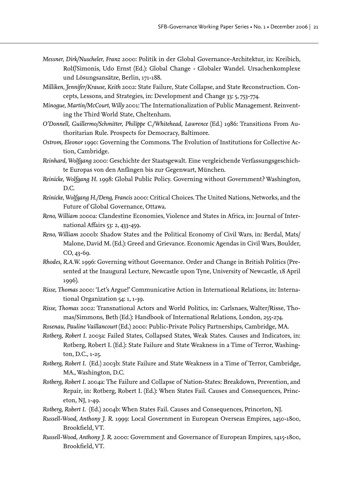- *Messner, Dirk/Nuscheler, Franz* 2000: Politik in der Global Governance-Architektur, in: Kreibich, Rolf/Simonis, Udo Ernst (Ed.): Global Change - Globaler Wandel. Ursachenkomplexe und Lösungsansätze, Berlin, 171-188.
- *Milliken, Jennifer/Krause, Keith* 2002: State Failure, State Collapse, and State Reconstruction. Concepts, Lessons, and Strategies, in: Development and Change 33: 5, 753-774.
- *Minogue, Martin/McCourt, Willy* 2001: The Internationalization of Public Management. Reinventing the Third World State, Cheltenham.
- *O'Donnell, Guillermo/Schmitter, Philippe C./Whitehead, Lawrence* (Ed.) 1986: Transitions From Authoritarian Rule. Prospects for Democracy, Baltimore.
- *Ostrom, Eleonor* 1990: Governing the Commons. The Evolution of Institutions for Collective Action, Cambridge.
- *Reinhard, Wolfgang* 2000: Geschichte der Staatsgewalt. Eine vergleichende Verfassungsgeschichte Europas von den Anfängen bis zur Gegenwart, München.
- *Reinicke, Wolfgang H.* 1998: Global Public Policy. Governing without Government? Washington, D.C.
- *Reinicke, Wolfgang H./Deng, Francis* 2000: Critical Choices. The United Nations, Networks, and the Future of Global Governance, Ottawa.
- *Reno, William* 2000a: Clandestine Economies, Violence and States in Africa, in: Journal of International Affairs 53: 2, 433-459.
- *Reno, William* 2000b: Shadow States and the Political Economy of Civil Wars, in: Berdal, Mats/ Malone, David M. (Ed.): Greed and Grievance. Economic Agendas in Civil Wars, Boulder, CO, 43-69.
- *Rhodes, R.A.W.* 1996: Governing without Governance. Order and Change in British Politics (Presented at the Inaugural Lecture, Newcastle upon Tyne, University of Newcastle, 18 April 1996).
- *Risse, Thomas* 2000: 'Let's Argue!' Communicative Action in International Relations, in: International Organization 54: 1, 1-39.
- *Risse, Thomas* 2002: Transnational Actors and World Politics, in: Carlsnaes, Walter/Risse, Thomas/Simmons, Beth (Ed.): Handbook of International Relations, London, 255-274.
- *Rosenau, Pauline Vaillancourt* (Ed.) 2000: Public-Private Policy Partnerships, Cambridge, MA.
- *Rotberg, Robert I.* 2003a: Failed States, Collapsed States, Weak States. Causes and Indicators, in: Rotberg, Robert I. (Ed.): State Failure and State Weakness in a Time of Terror, Washington, D.C., 1-25.
- *Rotberg, Robert I.* (Ed.) 2003b: State Failure and State Weakness in a Time of Terror, Cambridge, MA., Washington, D.C.
- *Rotberg, Robert I.* 2004a: The Failure and Collapse of Nation-States: Breakdown, Prevention, and Repair, in: Rotberg, Robert I. (Ed.): When States Fail. Causes and Consequences, Princeton, NJ, 1-49.
- *Rotberg, Robert I.* (Ed.) 2004b: When States Fail. Causes and Consequences, Princeton, NJ.
- *Russell-Wood, Anthony J. R.* 1999: Local Government in European Overseas Empires, 1450-1800, Brookfield, VT.
- *Russell-Wood, Anthony J. R.* 2000: Government and Governance of European Empires, 1415-1800, Brookfield, VT.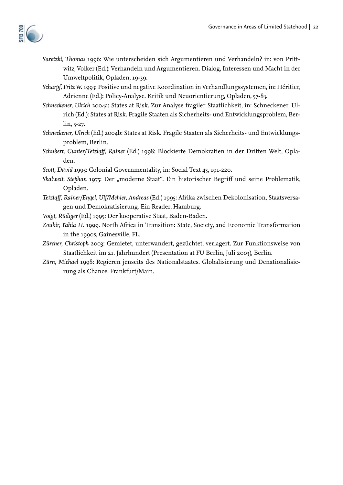

- *Saretzki, Thomas* 1996: Wie unterscheiden sich Argumentieren und Verhandeln? in: von Prittwitz, Volker (Ed.): Verhandeln und Argumentieren. Dialog, Interessen und Macht in der Umweltpolitik, Opladen, 19-39.
- *Scharpf, Fritz W.* 1993: Positive und negative Koordination in Verhandlungssystemen, in: Héritier, Adrienne (Ed.): Policy-Analyse. Kritik und Neuorientierung, Opladen, 57-83.
- *Schneckener, Ulrich* 2004a: States at Risk. Zur Analyse fragiler Staatlichkeit, in: Schneckener, Ulrich (Ed.): States at Risk. Fragile Staaten als Sicherheits- und Entwicklungsproblem, Berlin, 5-27.
- *Schneckener, Ulrich* (Ed.) 2004b: States at Risk. Fragile Staaten als Sicherheits- und Entwicklungsproblem, Berlin.
- *Schubert, Gunter/Tetzlaff , Rainer* (Ed.) 1998: Blockierte Demokratien in der Dritten Welt, Opladen.
- *Scott, David* 1995: Colonial Governmentality, in: Social Text 43, 191-220.
- Skalweit, Stephan 1975: Der "moderne Staat". Ein historischer Begriff und seine Problematik, Opladen.
- *Tetzlaff , Rainer/Engel, Ulf/Mehler, Andreas* (Ed.) 1995: Afrika zwischen Dekolonisation, Staatsversagen und Demokratisierung. Ein Reader, Hamburg.
- *Voigt, Rüdiger* (Ed.) 1995: Der kooperative Staat, Baden-Baden.
- *Zoubir, Yahia H.* 1999. North Africa in Transition: State, Society, and Economic Transformation in the 1990s, Gainesville, FL.
- *Zürcher, Christoph* 2003: Gemietet, unterwandert, gezüchtet, verlagert. Zur Funktionsweise von Staatlichkeit im 21. Jahrhundert (Presentation at FU Berlin, Juli 2003), Berlin.
- *Zürn, Michael* 1998: Regieren jenseits des Nationalstaates. Globalisierung und Denationalisierung als Chance, Frankfurt/Main.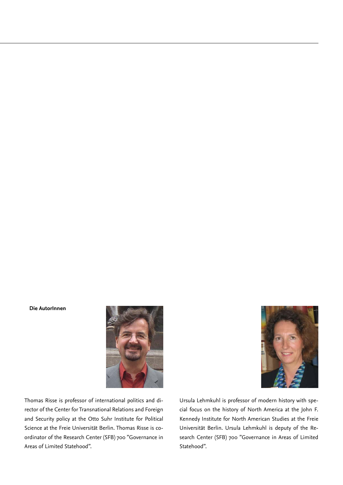#### **Die AutorInnen**



Thomas Risse is professor of international politics and director of the Center for Transnational Relations and Foreign and Security policy at the Otto Suhr Institute for Political Science at the Freie Universität Berlin. Thomas Risse is coordinator of the Research Center (SFB) 700 "Governance in Areas of Limited Statehood".



Ursula Lehmkuhl is professor of modern history with special focus on the history of North America at the John F. Kennedy Institute for North American Studies at the Freie Universität Berlin. Ursula Lehmkuhl is deputy of the Research Center (SFB) 700 "Governance in Areas of Limited Statehood".